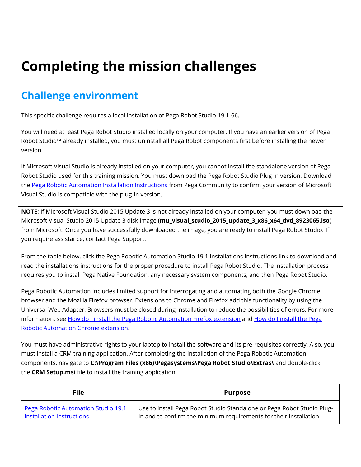## **Completing the mission challenges**

## **Challenge environment**

This specific challenge requires a local installation of Pega Robot Studio 19.1.66.

You will need at least Pega Robot Studio installed locally on your computer. If you have an earlier version of Pega Robot Studio™ already installed, you must uninstall all Pega Robot components first before installing the newer version.

If Microsoft Visual Studio is already installed on your computer, you cannot install the standalone version of Pega Robot Studio used for this training mission. You must download the Pega Robot Studio Plug In version. Download the [Pega Robotic Automation Installation Instructions](https://community.pega.com/knowledgebase/documents/pega-robotic-automation-version-191-installation-instructions) from Pega Community to confirm your version of Microsoft Visual Studio is compatible with the plug-in version.

**NOTE**: If Microsoft Visual Studio 2015 Update 3 is not already installed on your computer, you must download the Microsoft Visual Studio 2015 Update 3 disk image (**mu\_visual\_studio\_2015\_update\_3\_x86\_x64\_dvd\_8923065.iso**) from Microsoft. Once you have successfully downloaded the image, you are ready to install Pega Robot Studio. If you require assistance, contact Pega Support.

From the table below, click the Pega Robotic Automation Studio 19.1 Installations Instructions link to download and read the installations instructions for the proper procedure to install Pega Robot Studio. The installation process requires you to install Pega Native Foundation, any necessary system components, and then Pega Robot Studio.

Pega Robotic Automation includes limited support for interrogating and automating both the Google Chrome browser and the Mozilla Firefox browser. Extensions to Chrome and Firefox add this functionality by using the Universal Web Adapter. Browsers must be closed during installation to reduce the possibilities of errors. For more information, see [How do I install the Pega Robotic Automation Firefox extension](https://docs.pega.com/pega-rpa/how-do-i-install-pega-robotic-automation-firefox-extension) and [How do I install the Pega](https://docs.pega.com/pega-rpa/how-do-i-install-pega-robotic-automation-chrome-extension-version-80-sp1-or-later)  [Robotic Automation Chrome extension.](https://docs.pega.com/pega-rpa/how-do-i-install-pega-robotic-automation-chrome-extension-version-80-sp1-or-later)

You must have administrative rights to your laptop to install the software and its pre-requisites correctly. Also, you must install a CRM training application. After completing the installation of the Pega Robotic Automation components, navigate to **C:\Program Files (x86)\Pegasystems\Pega Robot Studio\Extras\** and double-click the **CRM Setup.msi** file to install the training application.

| <b>File</b>                         | <b>Purpose</b>                                                         |
|-------------------------------------|------------------------------------------------------------------------|
| Pega Robotic Automation Studio 19.1 | Use to install Pega Robot Studio Standalone or Pega Robot Studio Plug- |
| Installation Instructions           | In and to confirm the minimum requirements for their installation      |